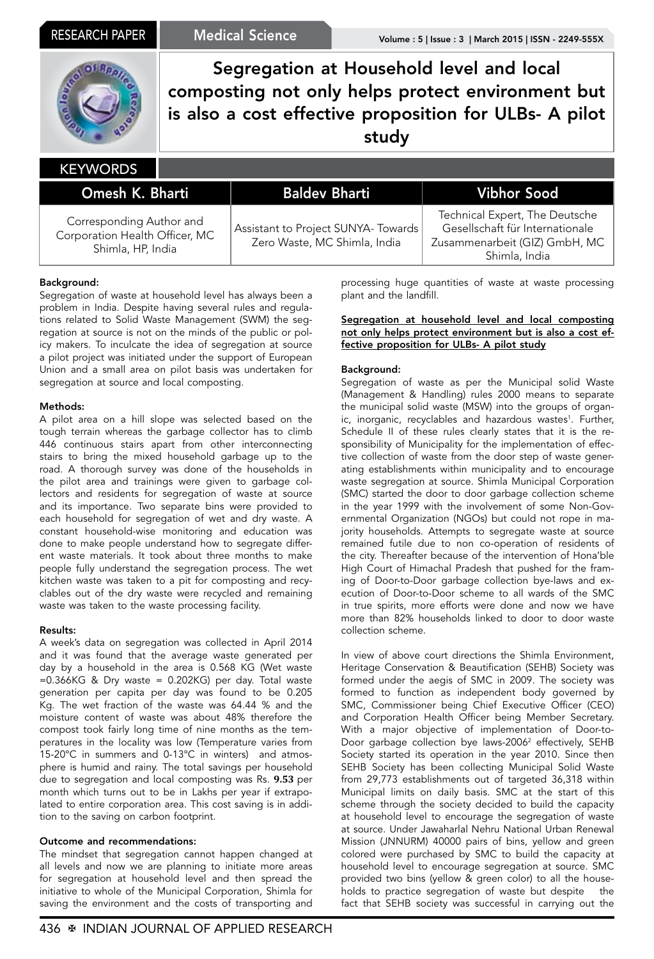

Segregation at Household level and local composting not only helps protect environment but is also a cost effective proposition for ULBs- A pilot study

#### Omesh K. Bharti Baldev Bharti Vibhor Sood Corresponding Author and Corporation Health Officer, MC Shimla, HP, India Assistant to Project SUNYA- Towards Zero Waste, MC Shimla, India Technical Expert, The Deutsche Gesellschaft für Internationale Zusammenarbeit (GIZ) GmbH, MC **KEYWORDS**

## Background:

Segregation of waste at household level has always been a problem in India. Despite having several rules and regulations related to Solid Waste Management (SWM) the segregation at source is not on the minds of the public or policy makers. To inculcate the idea of segregation at source a pilot project was initiated under the support of European Union and a small area on pilot basis was undertaken for segregation at source and local composting.

#### Methods:

A pilot area on a hill slope was selected based on the tough terrain whereas the garbage collector has to climb 446 continuous stairs apart from other interconnecting stairs to bring the mixed household garbage up to the road. A thorough survey was done of the households in the pilot area and trainings were given to garbage collectors and residents for segregation of waste at source and its importance. Two separate bins were provided to each household for segregation of wet and dry waste. A constant household-wise monitoring and education was done to make people understand how to segregate different waste materials. It took about three months to make people fully understand the segregation process. The wet kitchen waste was taken to a pit for composting and recyclables out of the dry waste were recycled and remaining waste was taken to the waste processing facility.

### Results:

A week's data on segregation was collected in April 2014 and it was found that the average waste generated per day by a household in the area is 0.568 KG (Wet waste =0.366KG & Dry waste = 0.202KG) per day. Total waste generation per capita per day was found to be 0.205 Kg. The wet fraction of the waste was 64.44 % and the moisture content of waste was about 48% therefore the compost took fairly long time of nine months as the temperatures in the locality was low (Temperature varies from 15-20°C in summers and 0-13°C in winters) and atmosphere is humid and rainy. The total savings per household due to segregation and local composting was Rs. **9.53** per month which turns out to be in Lakhs per year if extrapolated to entire corporation area. This cost saving is in addition to the saving on carbon footprint.

### Outcome and recommendations:

The mindset that segregation cannot happen changed at all levels and now we are planning to initiate more areas for segregation at household level and then spread the initiative to whole of the Municipal Corporation, Shimla for saving the environment and the costs of transporting and processing huge quantities of waste at waste processing plant and the landfill.

Shimla, India

#### Segregation at household level and local composting not only helps protect environment but is also a cost effective proposition for ULBs- A pilot study

#### Background:

Segregation of waste as per the Municipal solid Waste (Management & Handling) rules 2000 means to separate the municipal solid waste (MSW) into the groups of organic, inorganic, recyclables and hazardous wastes<sup>1</sup>. Further, Schedule II of these rules clearly states that it is the responsibility of Municipality for the implementation of effective collection of waste from the door step of waste generating establishments within municipality and to encourage waste segregation at source. Shimla Municipal Corporation (SMC) started the door to door garbage collection scheme in the year 1999 with the involvement of some Non-Governmental Organization (NGOs) but could not rope in majority households. Attempts to segregate waste at source remained futile due to non co-operation of residents of the city. Thereafter because of the intervention of Hona'ble High Court of Himachal Pradesh that pushed for the framing of Door-to-Door garbage collection bye-laws and execution of Door-to-Door scheme to all wards of the SMC in true spirits, more efforts were done and now we have more than 82% households linked to door to door waste collection scheme.

In view of above court directions the Shimla Environment, Heritage Conservation & Beautification (SEHB) Society was formed under the aegis of SMC in 2009. The society was formed to function as independent body governed by SMC, Commissioner being Chief Executive Officer (CEO) and Corporation Health Officer being Member Secretary. With a major objective of implementation of Door-to-Door garbage collection bye laws-2006<sup>2</sup> effectively, SEHB Society started its operation in the year 2010. Since then SEHB Society has been collecting Municipal Solid Waste from 29,773 establishments out of targeted 36,318 within Municipal limits on daily basis. SMC at the start of this scheme through the society decided to build the capacity at household level to encourage the segregation of waste at source. Under Jawaharlal Nehru National Urban Renewal Mission (JNNURM) 40000 pairs of bins, yellow and green colored were purchased by SMC to build the capacity at household level to encourage segregation at source. SMC provided two bins (yellow & green color) to all the households to practice segregation of waste but despite the fact that SEHB society was successful in carrying out the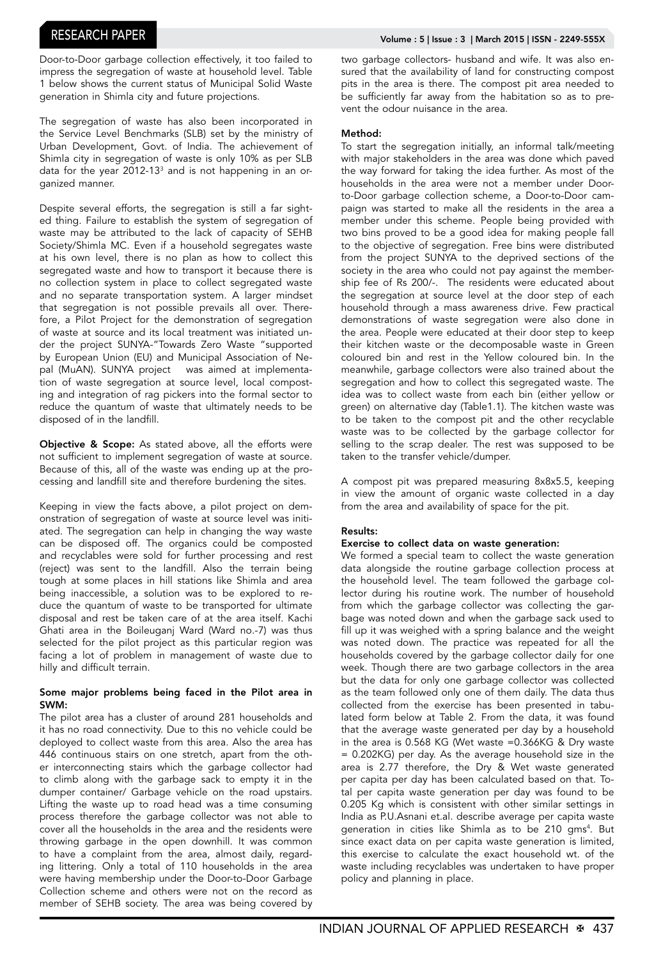Door-to-Door garbage collection effectively, it too failed to impress the segregation of waste at household level. Table 1 below shows the current status of Municipal Solid Waste generation in Shimla city and future projections.

The segregation of waste has also been incorporated in the Service Level Benchmarks (SLB) set by the ministry of Urban Development, Govt. of India. The achievement of Shimla city in segregation of waste is only 10% as per SLB data for the year 2012-13<sup>3</sup> and is not happening in an organized manner.

Despite several efforts, the segregation is still a far sighted thing. Failure to establish the system of segregation of waste may be attributed to the lack of capacity of SEHB Society/Shimla MC. Even if a household segregates waste at his own level, there is no plan as how to collect this segregated waste and how to transport it because there is no collection system in place to collect segregated waste and no separate transportation system. A larger mindset that segregation is not possible prevails all over. Therefore, a Pilot Project for the demonstration of segregation of waste at source and its local treatment was initiated under the project SUNYA-"Towards Zero Waste "supported by European Union (EU) and Municipal Association of Nepal (MuAN). SUNYA project was aimed at implementation of waste segregation at source level, local composting and integration of rag pickers into the formal sector to reduce the quantum of waste that ultimately needs to be disposed of in the landfill.

Objective & Scope: As stated above, all the efforts were not sufficient to implement segregation of waste at source. Because of this, all of the waste was ending up at the processing and landfill site and therefore burdening the sites.

Keeping in view the facts above, a pilot project on demonstration of segregation of waste at source level was initiated. The segregation can help in changing the way waste can be disposed off. The organics could be composted and recyclables were sold for further processing and rest (reject) was sent to the landfill. Also the terrain being tough at some places in hill stations like Shimla and area being inaccessible, a solution was to be explored to reduce the quantum of waste to be transported for ultimate disposal and rest be taken care of at the area itself. Kachi Ghati area in the Boileuganj Ward (Ward no.-7) was thus selected for the pilot project as this particular region was facing a lot of problem in management of waste due to hilly and difficult terrain.

#### Some major problems being faced in the Pilot area in SWM:

The pilot area has a cluster of around 281 households and it has no road connectivity. Due to this no vehicle could be deployed to collect waste from this area. Also the area has 446 continuous stairs on one stretch, apart from the other interconnecting stairs which the garbage collector had to climb along with the garbage sack to empty it in the dumper container/ Garbage vehicle on the road upstairs. Lifting the waste up to road head was a time consuming process therefore the garbage collector was not able to cover all the households in the area and the residents were throwing garbage in the open downhill. It was common to have a complaint from the area, almost daily, regarding littering. Only a total of 110 households in the area were having membership under the Door-to-Door Garbage Collection scheme and others were not on the record as member of SEHB society. The area was being covered by

two garbage collectors- husband and wife. It was also ensured that the availability of land for constructing compost pits in the area is there. The compost pit area needed to be sufficiently far away from the habitation so as to prevent the odour nuisance in the area.

#### Method:

To start the segregation initially, an informal talk/meeting with major stakeholders in the area was done which paved the way forward for taking the idea further. As most of the households in the area were not a member under Doorto-Door garbage collection scheme, a Door-to-Door campaign was started to make all the residents in the area a member under this scheme. People being provided with two bins proved to be a good idea for making people fall to the objective of segregation. Free bins were distributed from the project SUNYA to the deprived sections of the society in the area who could not pay against the membership fee of Rs 200/-. The residents were educated about the segregation at source level at the door step of each household through a mass awareness drive. Few practical demonstrations of waste segregation were also done in the area. People were educated at their door step to keep their kitchen waste or the decomposable waste in Green coloured bin and rest in the Yellow coloured bin. In the meanwhile, garbage collectors were also trained about the segregation and how to collect this segregated waste. The idea was to collect waste from each bin (either yellow or green) on alternative day (Table1.1). The kitchen waste was to be taken to the compost pit and the other recyclable waste was to be collected by the garbage collector for selling to the scrap dealer. The rest was supposed to be taken to the transfer vehicle/dumper.

A compost pit was prepared measuring 8x8x5.5, keeping in view the amount of organic waste collected in a day from the area and availability of space for the pit.

### Results:

#### Exercise to collect data on waste generation:

We formed a special team to collect the waste generation data alongside the routine garbage collection process at the household level. The team followed the garbage collector during his routine work. The number of household from which the garbage collector was collecting the garbage was noted down and when the garbage sack used to fill up it was weighed with a spring balance and the weight was noted down. The practice was repeated for all the households covered by the garbage collector daily for one week. Though there are two garbage collectors in the area but the data for only one garbage collector was collected as the team followed only one of them daily. The data thus collected from the exercise has been presented in tabulated form below at Table 2. From the data, it was found that the average waste generated per day by a household in the area is 0.568 KG (Wet waste =0.366KG & Dry waste = 0.202KG) per day. As the average household size in the area is 2.77 therefore, the Dry & Wet waste generated per capita per day has been calculated based on that. Total per capita waste generation per day was found to be 0.205 Kg which is consistent with other similar settings in India as P.U.Asnani et.al. describe average per capita waste generation in cities like Shimla as to be 210 gms4 . But since exact data on per capita waste generation is limited, this exercise to calculate the exact household wt. of the waste including recyclables was undertaken to have proper policy and planning in place.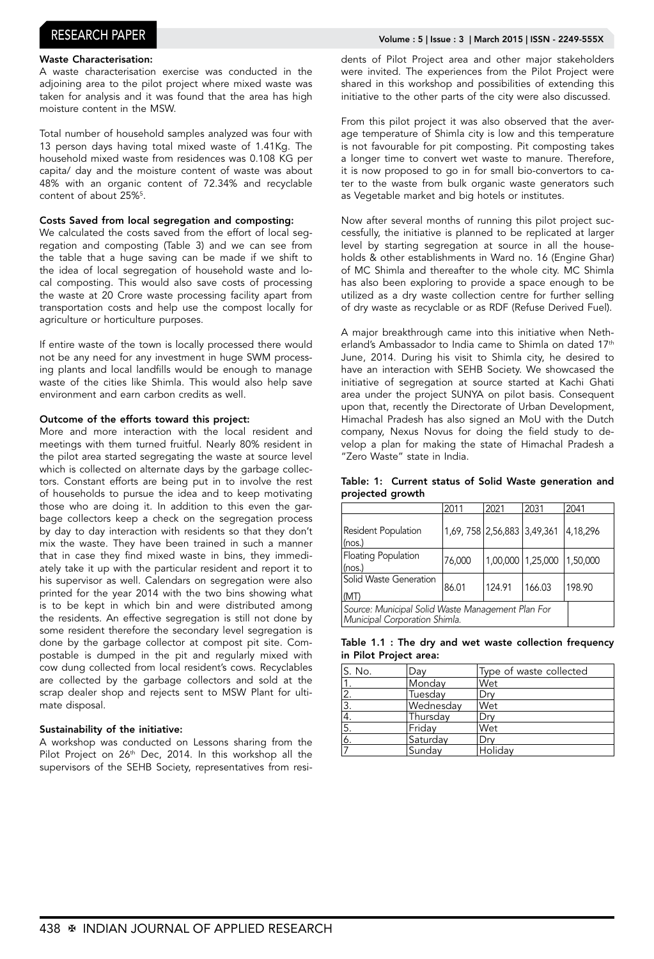# RESEARCH PAPER Volume : 5 | Issue : 3 | March 2015 | ISSN - 2249-555X

#### Waste Characterisation:

A waste characterisation exercise was conducted in the adjoining area to the pilot project where mixed waste was taken for analysis and it was found that the area has high moisture content in the MSW.

Total number of household samples analyzed was four with 13 person days having total mixed waste of 1.41Kg. The household mixed waste from residences was 0.108 KG per capita/ day and the moisture content of waste was about 48% with an organic content of 72.34% and recyclable content of about 25%<sup>5</sup>.

#### Costs Saved from local segregation and composting:

We calculated the costs saved from the effort of local segregation and composting (Table 3) and we can see from the table that a huge saving can be made if we shift to the idea of local segregation of household waste and local composting. This would also save costs of processing the waste at 20 Crore waste processing facility apart from transportation costs and help use the compost locally for agriculture or horticulture purposes.

If entire waste of the town is locally processed there would not be any need for any investment in huge SWM processing plants and local landfills would be enough to manage waste of the cities like Shimla. This would also help save environment and earn carbon credits as well.

#### Outcome of the efforts toward this project:

More and more interaction with the local resident and meetings with them turned fruitful. Nearly 80% resident in the pilot area started segregating the waste at source level which is collected on alternate days by the garbage collectors. Constant efforts are being put in to involve the rest of households to pursue the idea and to keep motivating those who are doing it. In addition to this even the garbage collectors keep a check on the segregation process by day to day interaction with residents so that they don't mix the waste. They have been trained in such a manner that in case they find mixed waste in bins, they immediately take it up with the particular resident and report it to his supervisor as well. Calendars on segregation were also printed for the year 2014 with the two bins showing what is to be kept in which bin and were distributed among the residents. An effective segregation is still not done by some resident therefore the secondary level segregation is done by the garbage collector at compost pit site. Compostable is dumped in the pit and regularly mixed with cow dung collected from local resident's cows. Recyclables are collected by the garbage collectors and sold at the scrap dealer shop and rejects sent to MSW Plant for ultimate disposal.

#### Sustainability of the initiative:

A workshop was conducted on Lessons sharing from the Pilot Project on 26<sup>th</sup> Dec, 2014. In this workshop all the supervisors of the SEHB Society, representatives from residents of Pilot Project area and other major stakeholders were invited. The experiences from the Pilot Project were shared in this workshop and possibilities of extending this initiative to the other parts of the city were also discussed.

From this pilot project it was also observed that the average temperature of Shimla city is low and this temperature is not favourable for pit composting. Pit composting takes a longer time to convert wet waste to manure. Therefore, it is now proposed to go in for small bio-convertors to cater to the waste from bulk organic waste generators such as Vegetable market and big hotels or institutes.

Now after several months of running this pilot project successfully, the initiative is planned to be replicated at larger level by starting segregation at source in all the households & other establishments in Ward no. 16 (Engine Ghar) of MC Shimla and thereafter to the whole city. MC Shimla has also been exploring to provide a space enough to be utilized as a dry waste collection centre for further selling of dry waste as recyclable or as RDF (Refuse Derived Fuel).

A major breakthrough came into this initiative when Netherland's Ambassador to India came to Shimla on dated 17<sup>th</sup> June, 2014. During his visit to Shimla city, he desired to have an interaction with SEHB Society. We showcased the initiative of segregation at source started at Kachi Ghati area under the project SUNYA on pilot basis. Consequent upon that, recently the Directorate of Urban Development, Himachal Pradesh has also signed an MoU with the Dutch company, Nexus Novus for doing the field study to develop a plan for making the state of Himachal Pradesh a "Zero Waste" state in India.

Table: 1: Current status of Solid Waste generation and projected growth

|                                                                                    | 2011                        | 2021              | 2031   | 2041     |
|------------------------------------------------------------------------------------|-----------------------------|-------------------|--------|----------|
| Resident Population<br>$ $ (nos.)                                                  | 1,69, 758 2,56,883 3,49,361 |                   |        | 4,18,296 |
| Floating Population<br>$ $ (nos.)                                                  | 76,000                      | 1,00,000 1,25,000 |        | 1,50,000 |
| <b>Solid Waste Generation</b><br>(MT)                                              | 86.01                       | 124.91            | 166.03 | 198.90   |
| Source: Municipal Solid Waste Management Plan For<br>Municipal Corporation Shimla. |                             |                   |        |          |

|                        |  |  | Table 1.1 : The dry and wet waste collection frequency |
|------------------------|--|--|--------------------------------------------------------|
| in Pilot Project area: |  |  |                                                        |

| lS. No.          | Day       | Type of waste collected |
|------------------|-----------|-------------------------|
|                  | Monday    | Wet                     |
|                  | Tuesday   | Drv                     |
| $\overline{3}$ . | Wednesday | Wet                     |
|                  | Thursday  | Drv                     |
| 5.               | Fridav    | Wet                     |
| 6.               | Saturday  | Drv                     |
|                  | Sunday    | Holidav                 |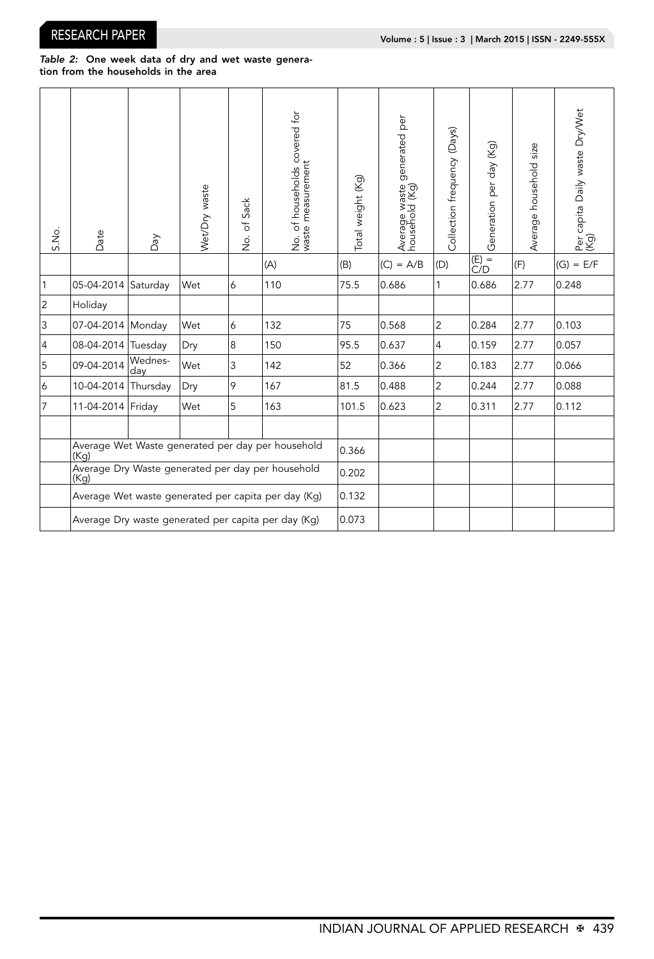#### *Table 2:* One week data of dry and wet waste generation from the households in the area

| S.No.          | Date                                                      | Day            | Wet/Dry waste | of Sack<br>$\frac{1}{2}$ | No. of households covered for<br>waste measurement | Total weight (Kg) | generated per<br>Average waste<br>household (Kg) | Collection frequency (Days) | Generation per day (Kg)                 | Average household size | Per capita Daily waste Dry/Wet<br>(Kg) |
|----------------|-----------------------------------------------------------|----------------|---------------|--------------------------|----------------------------------------------------|-------------------|--------------------------------------------------|-----------------------------|-----------------------------------------|------------------------|----------------------------------------|
|                |                                                           |                |               |                          | (A)                                                | (B)               | $(C) = A/B$                                      | $ D\rangle$                 | $\frac{\overline{(E)}}{\overline{C/D}}$ | (F)                    | $(G) = E/F$                            |
| $\mathbf{1}$   | 05-04-2014 Saturday                                       |                | Wet           | 6                        | 110                                                | 75.5              | 0.686                                            | 1                           | 0.686                                   | 2.77                   | 0.248                                  |
| $\overline{c}$ | Holiday                                                   |                |               |                          |                                                    |                   |                                                  |                             |                                         |                        |                                        |
| 3              | 07-04-2014 Monday                                         |                | Wet           | 6                        | 132                                                | 75                | 0.568                                            | 2                           | 0.284                                   | 2.77                   | 0.103                                  |
| $\overline{4}$ | 08-04-2014 Tuesday                                        |                | Dry           | 8                        | 150                                                | 95.5              | 0.637                                            | $\overline{4}$              | 0.159                                   | 2.77                   | 0.057                                  |
| 5              | 09-04-2014                                                | Wednes-<br>day | Wet           | 3                        | 142                                                | 52                | 0.366                                            | 2                           | 0.183                                   | 2.77                   | 0.066                                  |
| 6              | 10-04-2014 Thursday                                       |                | Dry           | 9                        | 167                                                | 81.5              | 0.488                                            | 2                           | 0.244                                   | 2.77                   | 0.088                                  |
| $\overline{7}$ | 11-04-2014 Friday                                         |                | Wet           | 5                        | 163                                                | 101.5             | 0.623                                            | 2                           | 0.311                                   | 2.77                   | 0.112                                  |
|                |                                                           |                |               |                          |                                                    |                   |                                                  |                             |                                         |                        |                                        |
|                | Average Wet Waste generated per day per household<br>(Kq) |                |               |                          |                                                    | 0.366             |                                                  |                             |                                         |                        |                                        |
|                | Average Dry Waste generated per day per household<br>(Kg) |                |               | 0.202                    |                                                    |                   |                                                  |                             |                                         |                        |                                        |
|                | Average Wet waste generated per capita per day (Kg)       |                |               |                          |                                                    | 0.132             |                                                  |                             |                                         |                        |                                        |
|                | Average Dry waste generated per capita per day (Kg)       |                |               |                          |                                                    | 0.073             |                                                  |                             |                                         |                        |                                        |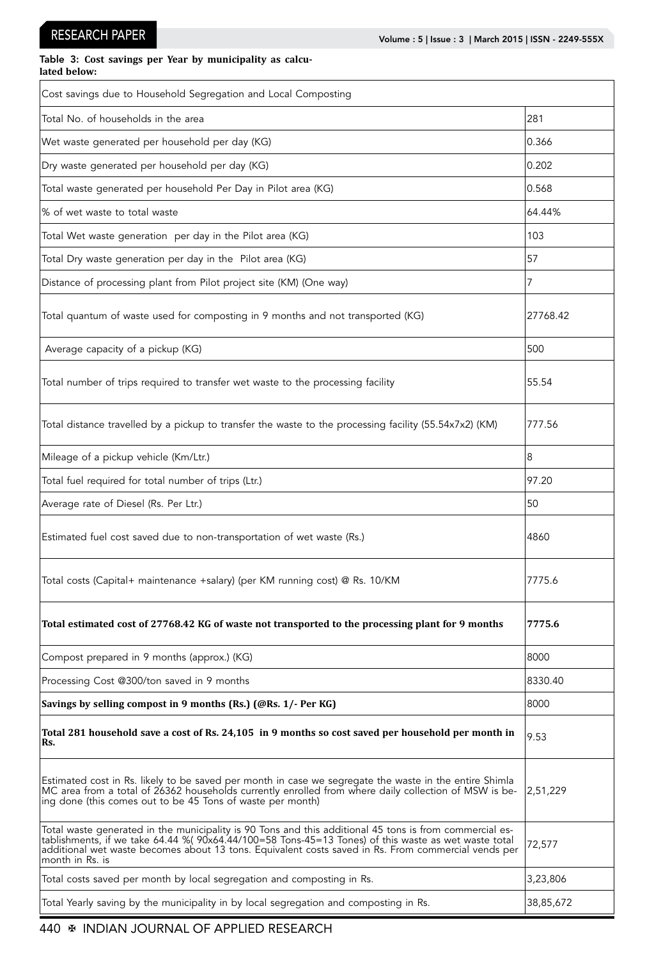#### Table 3: **Cost savings per Year by municipality as calculated below:**

| Cost savings due to Household Segregation and Local Composting                                                                                                                                                                                                                                                                            |           |  |  |  |  |
|-------------------------------------------------------------------------------------------------------------------------------------------------------------------------------------------------------------------------------------------------------------------------------------------------------------------------------------------|-----------|--|--|--|--|
| Total No. of households in the area                                                                                                                                                                                                                                                                                                       | 281       |  |  |  |  |
| Wet waste generated per household per day (KG)                                                                                                                                                                                                                                                                                            | 0.366     |  |  |  |  |
| Dry waste generated per household per day (KG)                                                                                                                                                                                                                                                                                            | 0.202     |  |  |  |  |
| Total waste generated per household Per Day in Pilot area (KG)                                                                                                                                                                                                                                                                            | 0.568     |  |  |  |  |
| % of wet waste to total waste                                                                                                                                                                                                                                                                                                             | 64.44%    |  |  |  |  |
| Total Wet waste generation per day in the Pilot area (KG)                                                                                                                                                                                                                                                                                 | 103       |  |  |  |  |
| Total Dry waste generation per day in the Pilot area (KG)                                                                                                                                                                                                                                                                                 | 57        |  |  |  |  |
| Distance of processing plant from Pilot project site (KM) (One way)                                                                                                                                                                                                                                                                       | 7         |  |  |  |  |
| Total quantum of waste used for composting in 9 months and not transported (KG)                                                                                                                                                                                                                                                           | 27768.42  |  |  |  |  |
| Average capacity of a pickup (KG)                                                                                                                                                                                                                                                                                                         | 500       |  |  |  |  |
| Total number of trips required to transfer wet waste to the processing facility                                                                                                                                                                                                                                                           | 55.54     |  |  |  |  |
| Total distance travelled by a pickup to transfer the waste to the processing facility (55.54x7x2) (KM)                                                                                                                                                                                                                                    | 777.56    |  |  |  |  |
| Mileage of a pickup vehicle (Km/Ltr.)                                                                                                                                                                                                                                                                                                     | 8         |  |  |  |  |
| Total fuel required for total number of trips (Ltr.)                                                                                                                                                                                                                                                                                      | 97.20     |  |  |  |  |
| Average rate of Diesel (Rs. Per Ltr.)                                                                                                                                                                                                                                                                                                     | 50        |  |  |  |  |
| Estimated fuel cost saved due to non-transportation of wet waste (Rs.)                                                                                                                                                                                                                                                                    | 4860      |  |  |  |  |
| Total costs (Capital+ maintenance +salary) (per KM running cost) @ Rs. 10/KM                                                                                                                                                                                                                                                              | 7775.6    |  |  |  |  |
| Total estimated cost of 27768.42 KG of waste not transported to the processing plant for 9 months                                                                                                                                                                                                                                         | 7775.6    |  |  |  |  |
| Compost prepared in 9 months (approx.) (KG)                                                                                                                                                                                                                                                                                               | 8000      |  |  |  |  |
| Processing Cost @300/ton saved in 9 months                                                                                                                                                                                                                                                                                                | 8330.40   |  |  |  |  |
| Savings by selling compost in 9 months (Rs.) (@Rs. 1/- Per KG)                                                                                                                                                                                                                                                                            | 8000      |  |  |  |  |
| Total 281 household save a cost of Rs. 24,105 in 9 months so cost saved per household per month in<br>Rs.                                                                                                                                                                                                                                 | 9.53      |  |  |  |  |
| Estimated cost in Rs. likely to be saved per month in case we segregate the waste in the entire Shimla<br>MC area from a total of 26362 households currently enrolled from where daily collection of MSW is be-<br>ing done (this comes out to be 45 Tons of waste per month)                                                             | 2,51,229  |  |  |  |  |
| Total waste generated in the municipality is 90 Tons and this additional 45 tons is from commercial es-<br>tablishments, if we take 64.44 %( 90x64.44/100=58 Tons-45=13 Tones) of this waste as wet waste total<br>additional wet waste becomes about 13 tons. Equivalent costs saved in Rs. From commercial vends per<br>month in Rs. is | 72,577    |  |  |  |  |
| Total costs saved per month by local segregation and composting in Rs.                                                                                                                                                                                                                                                                    | 3,23,806  |  |  |  |  |
| Total Yearly saving by the municipality in by local segregation and composting in Rs.                                                                                                                                                                                                                                                     | 38,85,672 |  |  |  |  |